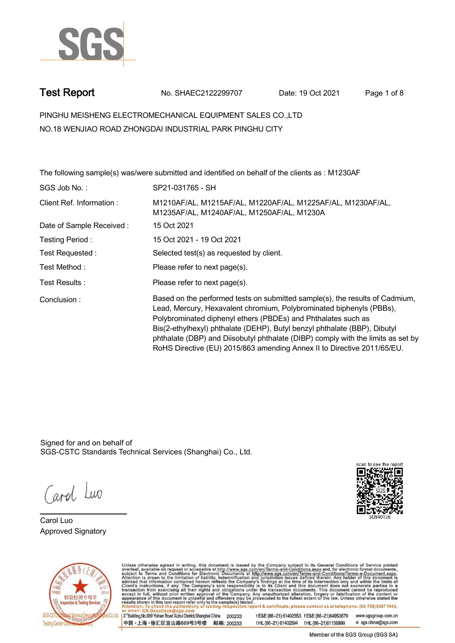

**Test Report. No. SHAEC2122299707 Date: 19 Oct 2021. Page 1 of 8.**

**PINGHU MEISHENG ELECTROMECHANICAL EQUIPMENT SALES CO.,LTD . NO.18 WENJIAO ROAD ZHONGDAI INDUSTRIAL PARK PINGHU CITY**

|                          | The following sample(s) was/were submitted and identified on behalf of the clients as : M1230AF                                                                                                                                                                                                                                                                                                                                                                   |
|--------------------------|-------------------------------------------------------------------------------------------------------------------------------------------------------------------------------------------------------------------------------------------------------------------------------------------------------------------------------------------------------------------------------------------------------------------------------------------------------------------|
| SGS Job No.:             | SP21-031765 - SH                                                                                                                                                                                                                                                                                                                                                                                                                                                  |
| Client Ref. Information: | M1210AF/AL, M1215AF/AL, M1220AF/AL, M1225AF/AL, M1230AF/AL,<br>M1235AF/AL, M1240AF/AL, M1250AF/AL, M1230A                                                                                                                                                                                                                                                                                                                                                         |
| Date of Sample Received: | 15 Oct 2021                                                                                                                                                                                                                                                                                                                                                                                                                                                       |
| Testing Period:          | 15 Oct 2021 - 19 Oct 2021                                                                                                                                                                                                                                                                                                                                                                                                                                         |
| Test Requested :         | Selected test(s) as requested by client.                                                                                                                                                                                                                                                                                                                                                                                                                          |
| Test Method:             | Please refer to next page(s).                                                                                                                                                                                                                                                                                                                                                                                                                                     |
| Test Results:            | Please refer to next page(s).                                                                                                                                                                                                                                                                                                                                                                                                                                     |
| Conclusion:              | Based on the performed tests on submitted sample(s), the results of Cadmium,<br>Lead, Mercury, Hexavalent chromium, Polybrominated biphenyls (PBBs),<br>Polybrominated diphenyl ethers (PBDEs) and Phthalates such as<br>Bis(2-ethylhexyl) phthalate (DEHP), Butyl benzyl phthalate (BBP), Dibutyl<br>phthalate (DBP) and Diisobutyl phthalate (DIBP) comply with the limits as set by<br>RoHS Directive (EU) 2015/863 amending Annex II to Directive 2011/65/EU. |

Signed for and on behalf of SGS-CSTC Standards Technical Services (Shanghai) Co., Ltd..

Carol Luo

**Carol Luo. Approved Signatory .**





Unless otherwise agreed in writing, this document is issued by the Company subject to its General Conditions of Service printed overleaf, available on request or accessible at http://www.sgs.com/en/Terms-and-Conditions.asp

13<sup>rd</sup> Building No.889 Yishan Road Xuhui District Shanghai China 200233 中国·上海·徐汇区宜山路889号3号楼 邮编: 200233 tE&E (86-21) 61402553 fE&E (86-21)64953679 www.sgsgroup.com.cn tHL (86-21) 61402594 fHL (86-21)61156899 e sgs.china@sgs.com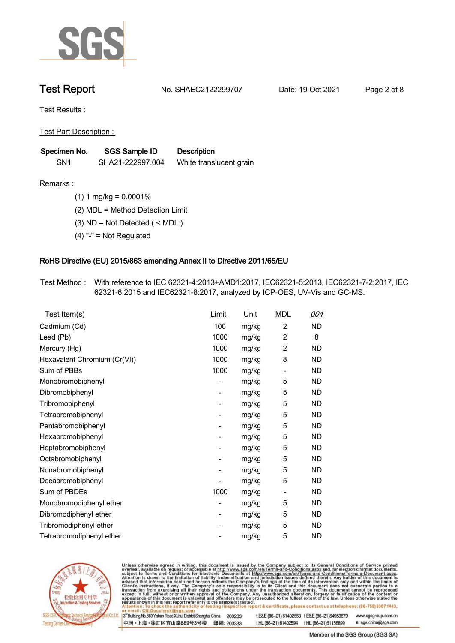

**Test Report. No. SHAEC2122299707 Date: 19 Oct 2021. Page 2 of 8.**

**Test Results :.**

**Test Part Description : .**

| Specimen No.    | SGS Sample ID    | <b>Description</b>      |  |
|-----------------|------------------|-------------------------|--|
| SN <sub>1</sub> | SHA21-222997.004 | White translucent grain |  |

**Remarks :.(1) 1 mg/kg = 0.0001% .**

**(2) MDL = Method Detection Limit .**

**(3) ND = Not Detected ( < MDL ) .**

**(4) "-" = Not Regulated .**

### **RoHS Directive (EU) 2015/863 amending Annex II to Directive 2011/65/EU.**

**Test Method :. With reference to IEC 62321-4:2013+AMD1:2017, IEC62321-5:2013, IEC62321-7-2:2017, IEC 62321-6:2015 and IEC62321-8:2017, analyzed by ICP-OES, UV-Vis and GC-MS. .**

| Test Item(s)                 | Limit | <u>Unit</u> | <b>MDL</b>               | 004       |
|------------------------------|-------|-------------|--------------------------|-----------|
| Cadmium (Cd)                 | 100   | mg/kg       | $\overline{2}$           | ND        |
| Lead (Pb)                    | 1000  | mg/kg       | $\overline{2}$           | 8         |
| Mercury (Hg)                 | 1000  | mg/kg       | $\overline{2}$           | <b>ND</b> |
| Hexavalent Chromium (Cr(VI)) | 1000  | mg/kg       | 8                        | <b>ND</b> |
| Sum of PBBs                  | 1000  | mg/kg       | $\overline{a}$           | ND.       |
| Monobromobiphenyl            |       | mg/kg       | 5                        | ND.       |
| Dibromobiphenyl              | -     | mg/kg       | 5                        | ND.       |
| Tribromobiphenyl             |       | mg/kg       | 5                        | ND.       |
| Tetrabromobiphenyl           | -     | mg/kg       | 5                        | ND        |
| Pentabromobiphenyl           |       | mg/kg       | 5                        | <b>ND</b> |
| Hexabromobiphenyl            | -     | mg/kg       | 5                        | ND.       |
| Heptabromobiphenyl           |       | mg/kg       | 5                        | <b>ND</b> |
| Octabromobiphenyl            |       | mg/kg       | 5                        | ND        |
| Nonabromobiphenyl            |       | mg/kg       | 5                        | ND.       |
| Decabromobiphenyl            |       | mg/kg       | 5                        | ND        |
| Sum of PBDEs                 | 1000  | mg/kg       | $\overline{\phantom{a}}$ | ND.       |
| Monobromodiphenyl ether      |       | mg/kg       | 5                        | ND        |
| Dibromodiphenyl ether        | -     | mg/kg       | 5                        | ND.       |
| Tribromodiphenyl ether       | -     | mg/kg       | 5                        | <b>ND</b> |
| Tetrabromodiphenyl ether     |       | mg/kg       | 5                        | <b>ND</b> |



Unless otherwise agreed in writing, this document is issued by the Company subject to its General Conditions of Service printed overleaf, available on request or accessible at http://www.sgs.com/en/Terms-and-Conditions.asp

3<sup>rd</sup> Building, No.889 Yishan Road Xuhui District, Shanghai China 200233 中国·上海·徐汇区宜山路889号3号楼 邮编: 200233 tE&E (86-21) 61402553 fE&E (86-21)64953679 www.sgsgroup.com.cn

t HL (86-21) 61402594 f HL (86-21) 61156899 e sgs.china@sgs.com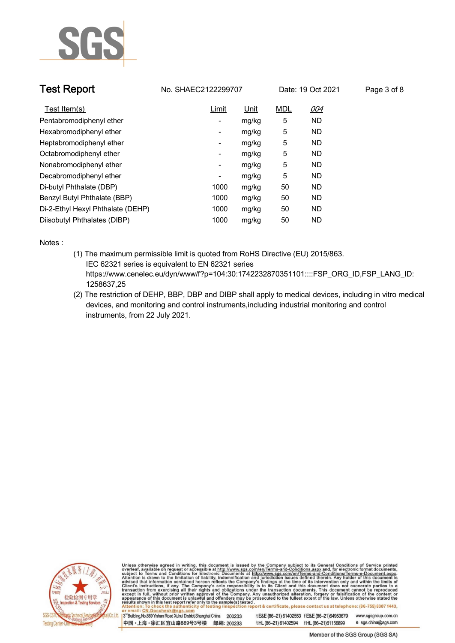

| <b>Test Report</b>                | No. SHAEC2122299707      |             |            | Date: 19 Oct 2021 | Page 3 of 8 |
|-----------------------------------|--------------------------|-------------|------------|-------------------|-------------|
| Test Item(s)                      | <b>Limit</b>             | <u>Unit</u> | <b>MDL</b> | 004               |             |
| Pentabromodiphenyl ether          | -                        | mg/kg       | 5          | <b>ND</b>         |             |
| Hexabromodiphenyl ether           | $\overline{\phantom{a}}$ | mg/kg       | 5          | ND.               |             |
| Heptabromodiphenyl ether          | -                        | mg/kg       | 5          | ND.               |             |
| Octabromodiphenyl ether           | -                        | mg/kg       | 5          | <b>ND</b>         |             |
| Nonabromodiphenyl ether           | $\overline{\phantom{a}}$ | mg/kg       | 5          | <b>ND</b>         |             |
| Decabromodiphenyl ether           | -                        | mg/kg       | 5          | <b>ND</b>         |             |
| Di-butyl Phthalate (DBP)          | 1000                     | mg/kg       | 50         | <b>ND</b>         |             |
| Benzyl Butyl Phthalate (BBP)      | 1000                     | mg/kg       | 50         | ND.               |             |
| Di-2-Ethyl Hexyl Phthalate (DEHP) | 1000                     | mg/kg       | 50         | <b>ND</b>         |             |
| Diisobutyl Phthalates (DIBP)      | 1000                     | mg/kg       | 50         | <b>ND</b>         |             |

**Notes :.**

- **(1) The maximum permissible limit is quoted from RoHS Directive (EU) 2015/863. IEC 62321 series is equivalent to EN 62321 series https://www.cenelec.eu/dyn/www/f?p=104:30:1742232870351101::::FSP\_ORG\_ID,FSP\_LANG\_ID: 1258637,25**
- **(2) The restriction of DEHP, BBP, DBP and DIBP shall apply to medical devices, including in vitro medical devices, and monitoring and control instruments,including industrial monitoring and control instruments, from 22 July 2021. .**



Unless otherwise agreed in writing, this document is issued by the Company subject to its General Conditions of Service printed overleaf, available on request or accessible at http://www.sgs.com/en/Terms-and-Conditions.asp

3<sup>rd</sup>Building, No.889 Yishan Road Xuhui District, Shanghai China 200233 中国·上海·徐汇区宜山路889号3号楼 邮编: 200233 t E&E (86-21) 61402553 f E&E (86-21)64953679

www.sgsgroup.com.cn e sgs.china@sgs.com t HL (86-21) 61402594 f HL (86-21) 61156899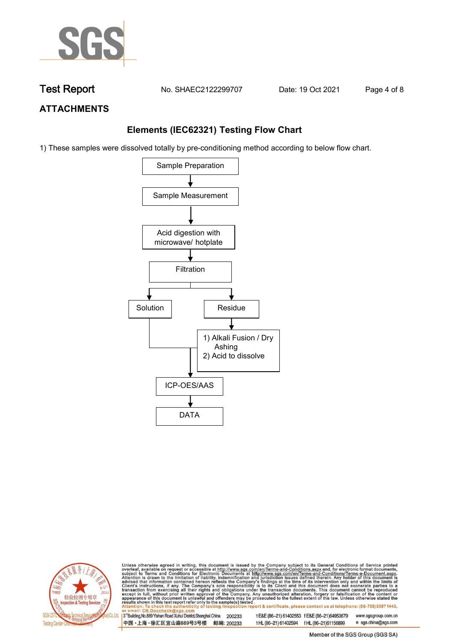

**Test Report. No. SHAEC2122299707 Date: 19 Oct 2021. Page 4 of 8.**

# **ATTACHMENTS**

## **Elements (IEC62321) Testing Flow Chart**

1) These samples were dissolved totally by pre-conditioning method according to below flow chart.





Unless otherwise agreed in writing, this document is issued by the Company subject to its General Conditions of Service printed overleaf, available on request or accessible at http://www.sgs.com/en/Terms-and-Conditions.asp

13<sup>rd</sup> Building, No.889 Yishan Road Xuhui District, Shanghai China 200233 中国·上海·徐汇区宜山路889号3号楼 邮编: 200233 tE&E (86-21) 61402553 fE&E (86-21)64953679 www.sgsgroup.com.cn e sgs.china@sgs.com t HL (86-21) 61402594 f HL (86-21) 61156899

Member of the SGS Group (SGS SA)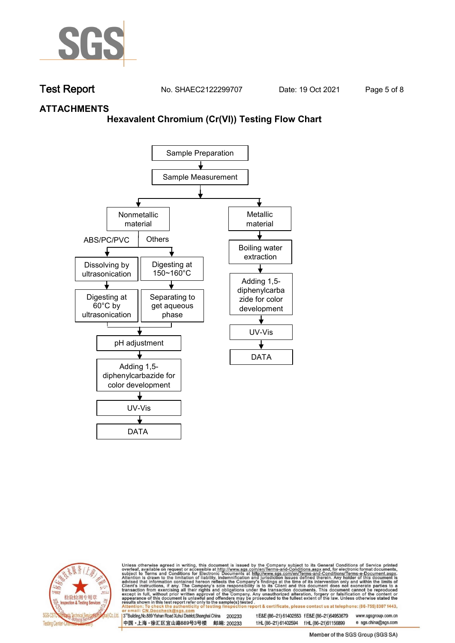

**Test Report. No. SHAEC2122299707 Date: 19 Oct 2021. Page 5 of 8.**

## **ATTACHMENTS**

### **Hexavalent Chromium (Cr(VI)) Testing Flow Chart**





Unless otherwise agreed in writing, this document is issued by the Company subject to its General Conditions of Service printed overleaf, available on request or accessible at http://www.sgs.com/en/Terms-and-Conditions.asp

3<sup>rd</sup> Building, No.889 Yishan Road Xuhui District, Shanghai China 200233 中国·上海·徐汇区宜山路889号3号楼 邮编: 200233 tE&E (86-21) 61402553 fE&E (86-21)64953679 www.sgsgroup.com.cn

t HL (86-21) 61402594 f HL (86-21) 61156899 Member of the SGS Group (SGS SA)

e sgs.china@sgs.com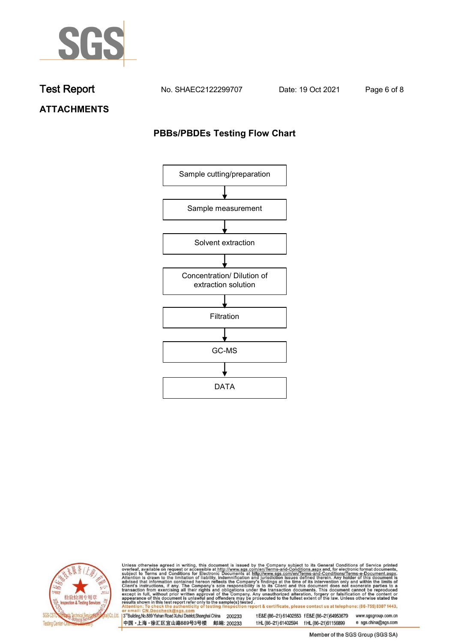

**Test Report. No. SHAEC2122299707 Date: 19 Oct 2021. Page 6 of 8.**

**ATTACHMENTS**

## **PBBs/PBDEs Testing Flow Chart**





Unless otherwise agreed in writing, this document is issued by the Company subject to its General Conditions of Service printed overleaf, available on request or accessible at http://www.sgs.com/en/Terms-and-Conditions.asp

3<sup>'</sup>Building, No.889 Yishan Road Xuhui District, Shanghai China 200233 中国·上海·徐汇区宜山路889号3号楼 邮编: 200233

tE&E (86-21) 61402553 fE&E (86-21)64953679 www.sgsgroup.com.cn

t HL (86-21) 61402594 f HL (86-21) 61156899 e sgs.china@sgs.com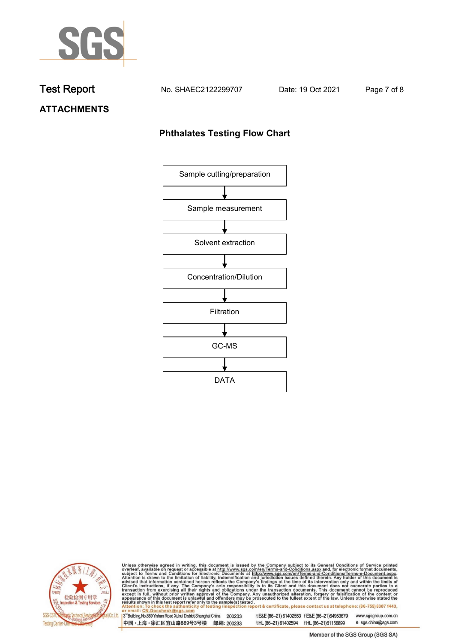

**Test Report. No. SHAEC2122299707 Date: 19 Oct 2021. Page 7 of 8.**

# **ATTACHMENTS**

## **Phthalates Testing Flow Chart**





Unless otherwise agreed in writing, this document is issued by the Company subject to its General Conditions of Service printed overleaf, available on request or accessible at http://www.sgs.com/en/Terms-and-Conditions.asp

3<sup>'</sup>Building, No.889 Yishan Road Xuhui District, Shanghai China 200233 中国·上海·徐汇区宜山路889号3号楼 邮编: 200233

tE&E (86-21) 61402553 fE&E (86-21)64953679 www.sgsgroup.com.cn

e sgs.china@sgs.com t HL (86-21) 61402594 f HL (86-21) 61156899